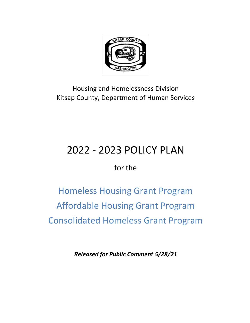

## Housing and Homelessness Division Kitsap County, Department of Human Services

## 2022 - 2023 POLICY PLAN

for the

Homeless Housing Grant Program Affordable Housing Grant Program Consolidated Homeless Grant Program

*Released for Public Comment 5/28/21*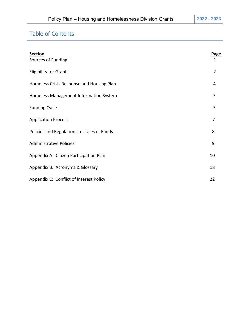## Table of Contents

| <b>Section</b><br>Sources of Funding       | Page<br>$\mathbf{1}$ |
|--------------------------------------------|----------------------|
| <b>Eligibility for Grants</b>              | $\overline{2}$       |
| Homeless Crisis Response and Housing Plan  | 4                    |
| Homeless Management Information System     | 5                    |
| <b>Funding Cycle</b>                       | 5                    |
| <b>Application Process</b>                 | 7                    |
| Policies and Regulations for Uses of Funds | 8                    |
| <b>Administrative Policies</b>             | 9                    |
| Appendix A: Citizen Participation Plan     | 10                   |
| Appendix B: Acronyms & Glossary            | 18                   |
| Appendix C: Conflict of Interest Policy    | 22                   |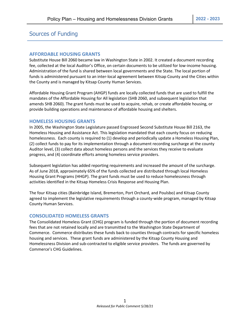## Sources of Funding

#### **AFFORDABLE HOUSING GRANTS**

Substitute House Bill 2060 became law in Washington State in 2002. It created a document recording fee, collected at the local Auditor's Office, on certain documents to be utilized for low-income housing. Administration of the fund is shared between local governments and the State. The local portion of funds is administered pursuant to an inter-local agreement between Kitsap County and the Cities within the County and is managed by Kitsap County Human Services.

Affordable Housing Grant Program (AHGP) funds are locally collected funds that are used to fulfill the mandates of the Affordable Housing for All legislation (SHB 2060, and subsequent legislation that amends SHB 2060). The grant funds must be used to acquire, rehab, or create affordable housing, or provide building operations and maintenance of affordable housing and shelters.

#### **HOMELESS HOUSING GRANTS**

In 2005, the Washington State Legislature passed Engrossed Second Substitute House Bill 2163, the Homeless Housing and Assistance Act. This legislation mandated that each county focus on reducing homelessness. Each county is required to (1) develop and periodically update a Homeless Housing Plan, (2) collect funds to pay for its implementation through a document recording surcharge at the county Auditor level, (3) collect data about homeless persons and the services they receive to evaluate progress, and (4) coordinate efforts among homeless service providers.

Subsequent legislation has added reporting requirements and increased the amount of the surcharge. As of June 2018, approximately 65% of the funds collected are distributed through local Homeless Housing Grant Programs (HHGP). The grant funds must be used to reduce homelessness through activities identified in the Kitsap Homeless Crisis Response and Housing Plan.

The four Kitsap cities (Bainbridge Island, Bremerton, Port Orchard, and Poulsbo) and Kitsap County agreed to implement the legislative requirements through a county-wide program, managed by Kitsap County Human Services.

#### **CONSOLIDATED HOMELESS GRANTS**

The Consolidated Homeless Grant (CHG) program is funded through the portion of document recording fees that are not retained locally and are transmitted to the Washington State Department of Commerce. Commerce distributes these funds back to counties through contracts for specific homeless housing and services. These grant funds are administered by the Kitsap County Housing and Homelessness Division and sub-contracted to eligible service providers. The funds are governed by Commerce's CHG Guidelines.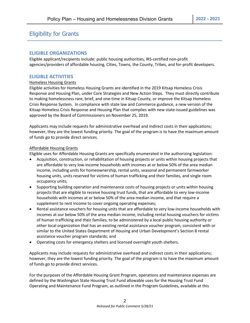## Eligibility for Grants

#### **ELIGIBLE ORGANIZATIONS**

Eligible applicant/recipients include: public housing authorities, IRS-certified non-profit agencies/providers of affordable housing, Cities, Towns, the County, Tribes, and for-profit developers.

#### **ELIGIBLE ACTIVITIES**

#### Homeless Housing Grants

Eligible activities for Homeless Housing Grants are identified in the 2019 Kitsap Homeless Crisis Response and Housing Plan, under Core Strategies and New Action Steps. They must directly contribute to making homelessness rare, brief, and one-time in Kitsap County, or improve the Kitsap Homeless Crisis Response System. In compliance with state law and Commerce guidance, a new version of the Kitsap Homeless Crisis Response and Housing Plan that complies with new state-issued guidelines was approved by the Board of Commissioners on November 25, 2019.

Applicants may include requests for administrative overhead and indirect costs in their applications; however, they are the lowest funding priority. The goal of the program is to have the maximum amount of funds go to provide direct services.

#### Affordable Housing Grants

Eligible uses for Affordable Housing Grants are specifically enumerated in the authorizing legislation:

- Acquisition, construction, or rehabilitation of housing projects or units within housing projects that are affordable to very low-income households with incomes at or below 50% of the area median income, including units for homeownership, rental units, seasonal and permanent farmworker housing units, units reserved for victims of human trafficking and their families, and single room occupancy units;
- Supporting building operation and maintenance costs of housing projects or units within housing projects that are eligible to receive housing trust funds, that are affordable to very low-income households with incomes at or below 50% of the area median income, and that require a supplement to rent income to cover ongoing operating expenses;
- Rental assistance vouchers for housing units that are affordable to very low-income households with incomes at our below 50% of the area median income, including rental housing vouchers for victims of human trafficking and their families, to be administered by a local public housing authority or other local organization that has an existing rental assistance voucher program, consistent with or similar to the United States Department of Housing and Urban Development's Section 8 rental assistance voucher program standards; and
- Operating costs for emergency shelters and licensed overnight youth shelters.

Applicants may include requests for administrative overhead and indirect costs in their applications; however, they are the lowest funding priority. The goal of the program is to have the maximum amount of funds go to provide direct services.

For the purposes of the Affordable Housing Grant Program, operations and maintenance expenses are defined by the Washington State Housing Trust Fund allowable uses for the Housing Trust Fund Operating and Maintenance Fund Program, as outlined in the Program Guidelines, available at this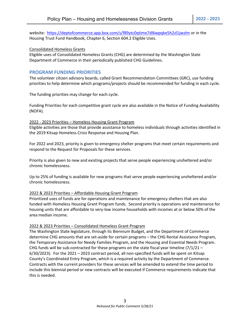website: <https://deptofcommerce.app.box.com/s/f89ytc0qtime7dl6wpqke5h2zl1jwzlm> or in the Housing Trust Fund Handbook, Chapter 6, Section 604.2 Eligible Uses.

#### Consolidated Homeless Grants

Eligible uses of Consolidated Homeless Grants (CHG) are determined by the Washington State Department of Commerce in their periodically published CHG Guidelines.

#### **PROGRAM FUNDING PRIORITIES**

The volunteer citizen advisory boards, called Grant Recommendation Committees (GRC), use funding priorities to help determine which programs/projects should be recommended for funding in each cycle.

The funding priorities may change for each cycle.

Funding Priorities for each competitive grant cycle are also available in the Notice of Funding Availability (NOFA).

#### 2022 - 2023 Priorities – Homeless Housing Grant Program

Eligible activities are those that provide assistance to homeless individuals through activities identified in the 2019 Kitsap Homeless Crisis Response and Housing Plan.

For 2022 and 2023, priority is given to emergency shelter programs that meet certain requirements and respond to the Request for Proposals for these services.

Priority is also given to new and existing projects that serve people experiencing unsheltered and/or chronic homelessness.

Up to 25% of funding is available for new programs that serve people experiencing unsheltered and/or chronic homelessness.

#### 2022 & 2023 Priorities – Affordable Housing Grant Program

Prioritized uses of funds are for operations and maintenance for emergency shelters that are also funded with Homeless Housing Grant Program funds. Second priority is operations and maintenance for housing units that are affordable to very-low income households with incomes at or below 50% of the area median income.

#### 2022 & 2023 Priorities – Consolidated Homeless Grant Program

The Washington State legislature, through its Biennium Budget, and the Department of Commerce determine CHG amounts that are set-aside for certain programs – the CHG Rental Assistance Program, the Temporary Assistance for Needy Families Program, and the Housing and Essential Needs Program. CHG funds will be sub-contracted for these programs on the state fiscal year timeline  $(7/1/21 -$ 6/30/2023). For the 2021 – 2023 contract period, all non-specified funds will be spent on Kitsap County's Coordinated Entry Program, which is a required activity by the Department of Commerce. Contracts with the current providers for these services will be amended to extend the time period to include this biennial period or new contracts will be executed if Commerce requirements indicate that this is needed.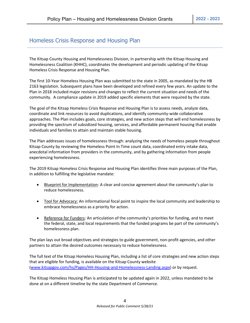## Homeless Crisis Response and Housing Plan

The Kitsap County Housing and Homelessness Division, in partnership with the Kitsap Housing and Homelessness Coalition (KHHC), coordinates the development and periodic updating of the Kitsap Homeless Crisis Response and Housing Plan.

The first 10-Year Homeless Housing Plan was submitted to the state in 2005, as mandated by the HB 2163 legislation. Subsequent plans have been developed and refined every few years. An update to the Plan in 2018 included major revisions and changes to reflect the current situation and needs of the community. A compliance update in 2019 added specific elements that were required by the state.

The goal of the Kitsap Homeless Crisis Response and Housing Plan is to assess needs, analyze data, coordinate and link resources to avoid duplications, and identify community-wide collaborative approaches. The Plan includes goals, core strategies, and new action steps that will end homelessness by providing the spectrum of subsidized housing, services, and affordable permanent housing that enable individuals and families to attain and maintain stable housing.

The Plan addresses issues of homelessness through: analyzing the needs of homeless people throughout Kitsap County by reviewing the Homeless Point In Time count data, coordinated entry intake data, anecdotal information from providers in the community, and by gathering information from people experiencing homelessness.

The 2019 Kitsap Homeless Crisis Response and Housing Plan identifies three main purposes of the Plan, in addition to fulfilling the legislative mandate:

- Blueprint for Implementation: A clear and concise agreement about the community's plan to reduce homelessness.
- Tool for Advocacy: An informational focal point to inspire the local community and leadership to embrace homelessness as a priority for action.
- Reference for Funders: An articulation of the community's priorities for funding, and to meet the federal, state, and local requirements that the funded programs be part of the community's homelessness plan.

The plan lays out broad objectives and strategies to guide government, non-profit agencies, and other partners to attain the desired outcomes necessary to reduce homelessness.

The full text of the Kitsap Homeless Housing Plan, including a list of core strategies and new action steps that are eligible for funding, is available on the Kitsap County website [\(www.kitsapgov.com/hs/Pages/HH-Housing-and-Homelessness-Landing.aspx\)](http://www.kitsapgov.com/hs/Pages/HH-Housing-and-Homelessness-Landing.aspx) or by request.

The Kitsap Homeless Housing Plan is anticipated to be updated again in 2022, unless mandated to be done at on a different timeline by the state Department of Commerce.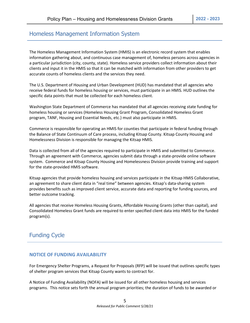## Homeless Management Information System

The Homeless Management Information System (HMIS) is an electronic record system that enables information gathering about, and continuous case management of, homeless persons across agencies in a particular jurisdiction (city, county, state). Homeless service providers collect information about their clients and input it in the HMIS so that it can be matched with information from other providers to get accurate counts of homeless clients and the services they need.

The U.S. Department of Housing and Urban Development (HUD) has mandated that all agencies who receive federal funds for homeless housing or services, must participate in an HMIS. HUD outlines the specific data points that must be collected for each homeless client.

Washington State Department of Commerce has mandated that all agencies receiving state funding for homeless housing or services (Homeless Housing Grant Program, Consolidated Homeless Grant program, TANF, Housing and Essential Needs, etc.) must also participate in HMIS.

Commerce is responsible for operating an HMIS for counties that participate in federal funding through the Balance of State Continuum of Care process, including Kitsap County. Kitsap County Housing and Homelessness Division is responsible for managing the Kitsap HMIS.

Data is collected from all of the agencies required to participate in HMIS and submitted to Commerce. Through an agreement with Commerce, agencies submit data through a state-provide online software system. Commerce and Kitsap County Housing and Homelessness Division provide training and support for the state-provided HMIS software.

Kitsap agencies that provide homeless housing and services participate in the Kitsap HMIS Collaborative, an agreement to share client data in "real time" between agencies. Kitsap's data-sharing system provides benefits such as improved client service, accurate data and reporting for funding sources, and better outcome tracking.

All agencies that receive Homeless Housing Grants, Affordable Housing Grants (other than capital), and Consolidated Homeless Grant funds are required to enter specified client data into HMIS for the funded program(s).

## Funding Cycle

#### **NOTICE OF FUNDING AVAILABILITY**

For Emergency Shelter Programs, a Request for Proposals (RFP) will be issued that outlines specific types of shelter program services that Kitsap County wants to contract for.

A Notice of Funding Availability (NOFA) will be issued for all other homeless housing and services programs. This notice sets forth the annual program priorities; the duration of funds to be awarded or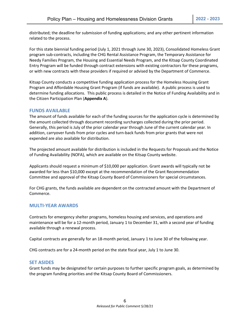distributed; the deadline for submission of funding applications; and any other pertinent information related to the process.

For this state biennial funding period (July 1, 2021 through June 30, 2023), Consolidated Homeless Grant program sub-contracts, including the CHG Rental Assistance Program, the Temporary Assistance for Needy Families Program, the Housing and Essential Needs Program, and the Kitsap County Coordinated Entry Program will be funded through contract extensions with existing contractors for these programs, or with new contracts with these providers if required or advised by the Department of Commerce.

Kitsap County conducts a competitive funding application process for the Homeless Housing Grant Program and Affordable Housing Grant Program (if funds are available). A public process is used to determine funding allocations. This public process is detailed in the Notice of Funding Availability and in the Citizen Participation Plan (**Appendix A**).

#### **FUNDS AVAILABLE**

The amount of funds available for each of the funding sources for the application cycle is determined by the amount collected through document recording surcharges collected during the prior period. Generally, this period is July of the prior calendar year through June of the current calendar year. In addition, carryover funds from prior cycles and turn-back funds from prior grants that were not expended are also available for distribution.

The projected amount available for distribution is included in the Requests for Proposals and the Notice of Funding Availability (NOFA), which are available on the Kitsap County website.

Applicants should request a minimum of \$10,000 per application. Grant awards will typically not be awarded for less than \$10,000 except at the recommendation of the Grant Recommendation Committee and approval of the Kitsap County Board of Commissioners for special circumstances.

For CHG grants, the funds available are dependent on the contracted amount with the Department of Commerce.

#### **MULTI-YEAR AWARDS**

Contracts for emergency shelter programs, homeless housing and services, and operations and maintenance will be for a 12-month period, January 1 to December 31, with a second year of funding available through a renewal process.

Capital contracts are generally for an 18-month period, January 1 to June 30 of the following year.

CHG contracts are for a 24-month period on the state fiscal year, July 1 to June 30.

#### **SET ASIDES**

Grant funds may be designated for certain purposes to further specific program goals, as determined by the program funding priorities and the Kitsap County Board of Commissioners.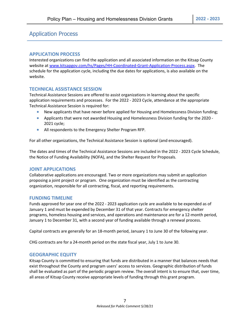## Application Process

#### **APPLICATION PROCESS**

Interested organizations can find the application and all associated information on the Kitsap County website at [www.kitsapgov.com/hs/Pages/HH-Coordinated-Grant-Application-Process.aspx.](http://www.kitsapgov.com/hs/Pages/HH-Coordinated-Grant-Application-Process.aspx) The schedule for the application cycle, including the due dates for applications, is also available on the website.

#### **TECHNICAL ASSISTANCE SESSION**

Technical Assistance Sessions are offered to assist organizations in learning about the specific application requirements and processes. For the 2022 - 2023 Cycle, attendance at the appropriate Technical Assistance Session is required for:

- New applicants that have never before applied for Housing and Homelessness Division funding;
- Applicants that were not awarded Housing and Homelessness Division funding for the 2020 2021 cycle;
- All respondents to the Emergency Shelter Program RFP.

For all other organizations, the Technical Assistance Session is optional (and encouraged).

The dates and times of the Technical Assistance Sessions are included in the 2022 - 2023 Cycle Schedule, the Notice of Funding Availability (NOFA), and the Shelter Request for Proposals.

#### **JOINT APPLICATIONS**

Collaborative applications are encouraged. Two or more organizations may submit an application proposing a joint project or program. One organization must be identified as the contracting organization, responsible for all contracting, fiscal, and reporting requirements.

#### **FUNDING TIMELINE**

Funds approved for year one of the 2022 - 2023 application cycle are available to be expended as of January 1 and must be expended by December 31 of that year. Contracts for emergency shelter programs, homeless housing and services, and operations and maintenance are for a 12-month period, January 1 to December 31, with a second year of funding available through a renewal process.

Capital contracts are generally for an 18-month period, January 1 to June 30 of the following year.

CHG contracts are for a 24-month period on the state fiscal year, July 1 to June 30.

#### **GEOGRAPHIC EQUITY**

Kitsap County is committed to ensuring that funds are distributed in a manner that balances needs that exist throughout the County and program users' access to services. Geographic distribution of funds shall be evaluated as part of the periodic program review. The overall intent is to ensure that, over time, all areas of Kitsap County receive appropriate levels of funding through this grant program.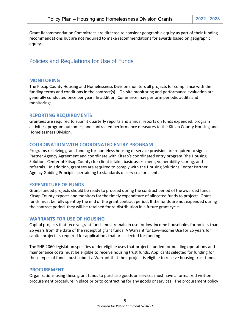Grant Recommendation Committees are directed to consider geographic equity as part of their funding recommendations but are not required to make recommendations for awards based on geographic equity.

## Policies and Regulations for Use of Funds

#### **MONITORING**

The Kitsap County Housing and Homelessness Division monitors all projects for compliance with the funding terms and conditions in the contract(s). On-site monitoring and performance evaluation are generally conducted once per year. In addition, Commerce may perform periodic audits and monitorings.

#### **REPORTING REQUIREMENTS**

Grantees are required to submit quarterly reports and annual reports on funds expended, program activities, program outcomes, and contracted performance measures to the Kitsap County Housing and Homelessness Division.

#### **COORDINATION WITH COORDINATED ENTRY PROGRAM**

Programs receiving grant funding for homeless housing or service provision are required to sign a Partner Agency Agreement and coordinate with Kitsap's coordinated entry program (the Housing Solutions Center of Kitsap County) for client intake, basic assessment, vulnerability scoring, and referrals. In addition, grantees are required to comply with the Housing Solutions Center Partner Agency Guiding Principles pertaining to standards of services for clients.

#### **EXPENDITURE OF FUNDS**

Grant-funded projects should be ready to proceed during the contract period of the awarded funds. Kitsap County expects and monitors for the timely expenditure of allocated funds to projects. Grant funds must be fully spent by the end of the grant contract period. If the funds are not expended during the contract period, they will be retained for re-distribution in a future grant cycle.

#### **WARRANTS FOR USE OF HOUSING**

Capital projects that receive grant funds must remain in use for low-income households for no less than 25 years from the date of the receipt of grant funds. A Warrant for Low-Income Use for 25 years for capital projects is required for applications that are selected for funding.

The SHB 2060 legislation specifies under eligible uses that projects funded for building operations and maintenance costs must be eligible to receive housing trust funds. Applicants selected for funding for these types of funds must submit a Warrant that their project is eligible to receive housing trust funds.

#### **PROCUREMENT**

Organizations using these grant funds to purchase goods or services must have a formalized written procurement procedure in place prior to contracting for any goods or services. The procurement policy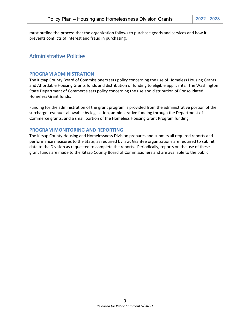must outline the process that the organization follows to purchase goods and services and how it prevents conflicts of interest and fraud in purchasing.

### Administrative Policies

#### **PROGRAM ADMINISTRATION**

The Kitsap County Board of Commissioners sets policy concerning the use of Homeless Housing Grants and Affordable Housing Grants funds and distribution of funding to eligible applicants. The Washington State Department of Commerce sets policy concerning the use and distribution of Consolidated Homeless Grant funds.

Funding for the administration of the grant program is provided from the administrative portion of the surcharge revenues allowable by legislation, administrative funding through the Department of Commerce grants, and a small portion of the Homeless Housing Grant Program funding.

#### **PROGRAM MONITORING AND REPORTING**

The Kitsap County Housing and Homelessness Division prepares and submits all required reports and performance measures to the State, as required by law. Grantee organizations are required to submit data to the Division as requested to complete the reports. Periodically, reports on the use of these grant funds are made to the Kitsap County Board of Commissioners and are available to the public.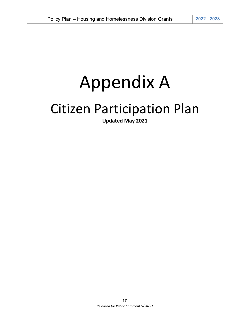## Appendix A

## Citizen Participation Plan

**Updated May 2021**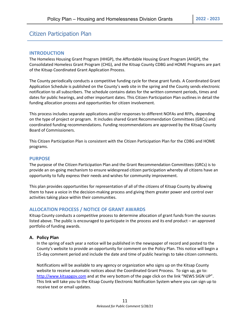## Citizen Participation Plan

#### **INTRODUCTION**

The Homeless Housing Grant Program (HHGP), the Affordable Housing Grant Program (AHGP), the Consolidated Homeless Grant Program (CHG), and the Kitsap County CDBG and HOME Programs are part of the Kitsap Coordinated Grant Application Process.

The County periodically conducts a competitive funding cycle for these grant funds. A Coordinated Grant Application Schedule is published on the County's web site in the spring and the County sends electronic notification to all subscribers. The schedule contains dates for the written comment periods, times and dates for public hearings, and other important dates. This Citizen Participation Plan outlines in detail the funding allocation process and opportunities for citizen involvement.

This process includes separate applications and/or responses to different NOFAs and RFPs, depending on the type of project or program. It includes shared Grant Recommendation Committees (GRCs) and coordinated funding recommendations. Funding recommendations are approved by the Kitsap County Board of Commissioners.

This Citizen Participation Plan is consistent with the Citizen Participation Plan for the CDBG and HOME programs.

#### **PURPOSE**

The purpose of the Citizen Participation Plan and the Grant Recommendation Committees (GRCs) is to provide an on-going mechanism to ensure widespread citizen participation whereby all citizens have an opportunity to fully express their needs and wishes for community improvement.

This plan provides opportunities for representation of all of the citizens of Kitsap County by allowing them to have a voice in the decision-making process and giving them greater power and control over activities taking place within their communities.

#### **ALLOCATION PROCESS / NOTICE OF GRANT AWARDS**

Kitsap County conducts a competitive process to determine allocation of grant funds from the sources listed above. The public is encouraged to participate in the process and its end product – an approved portfolio of funding awards.

#### **A. Policy Plan**

In the spring of each year a notice will be published in the newspaper of record and posted to the County's website to provide an opportunity for comment on the Policy Plan. This notice will begin a 15-day comment period and include the date and time of public hearings to take citizen comments.

Notifications will be available to any agency or organization who signs up on the Kitsap County website to receive automatic notices about the Coordinated Grant Process. To sign up, go to: [http://www.kitsapgov.com](http://www.kitsapgov.com/hs/housing) and at the very bottom of the page click on the link "NEWS SIGN UP". This link will take you to the Kitsap County Electronic Notification System where you can sign up to receive text or email updates.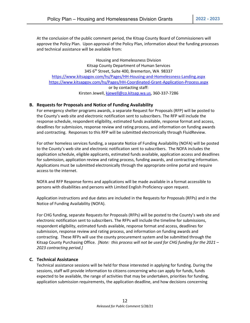At the conclusion of the public comment period, the Kitsap County Board of Commissioners will approve the Policy Plan. Upon approval of the Policy Plan, information about the funding processes and technical assistance will be available from:

Housing and Homelessness Division Kitsap County Department of Human Services 345 6<sup>th</sup> Street, Suite 400, Bremerton, WA 98337 <https://www.kitsapgov.com/hs/Pages/HH-Housing-and-Homelessness-Landing.aspx> <https://www.kitsapgov.com/hs/Pages/HH-Coordinated-Grant-Application-Process.aspx> or by contacting staff: Kirsten Jewell[, kjewell@co.kitsap.wa.us,](mailto:kjewell@co.kitsap.wa.us) 360-337-7286

#### **B. Requests for Proposals and Notice of Funding Availability**

For emergency shelter programs awards, a separate Request for Proposals (RFP) will be posted to the County's web site and electronic notification sent to subscribers. The RFP will include the response schedule, respondent eligibility, estimated funds available, response format and access, deadlines for submission, response review and rating process, and information on funding awards and contracting. Responses to this RFP will be submitted electronically through FluidReview.

For other homeless services funding, a separate Notice of Funding Availability (NOFA) will be posted to the County's web site and electronic notification sent to subscribers. The NOFA includes the application schedule, eligible applicants, estimated funds available, application access and deadlines for submission, application review and rating process, funding awards, and contracting information. Applications must be submitted electronically through the appropriate online portal and require access to the internet.

NOFA and RFP Response forms and applications will be made available in a format accessible to persons with disabilities and persons with Limited English Proficiency upon request.

Application instructions and due dates are included in the Requests for Proposals (RFPs) and in the Notice of Funding Availability (NOFA).

For CHG funding, separate Requests for Proposals (RFPs) will be posted to the County's web site and electronic notification sent to subscribers. The RFPs will include the timeline for submissions, respondent eligibility, estimated funds available, response format and access, deadlines for submission, response review and rating process, and information on funding awards and contracting. These RFPs will use the county procurement system and be submitted through the Kitsap County Purchasing Office. *[Note: this process will not be used for CHG funding for the 2021 – 2023 contracting period.]*

#### **C. Technical Assistance**

Technical assistance sessions will be held for those interested in applying for funding. During the sessions, staff will provide information to citizens concerning who can apply for funds, funds expected to be available, the range of activities that may be undertaken, priorities for funding, application submission requirements, the application deadline, and how decisions concerning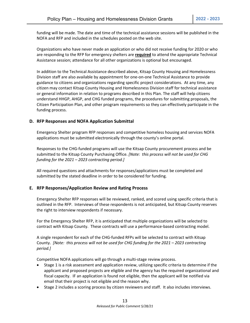funding will be made. The date and time of the technical assistance sessions will be published in the NOFA and RFP and included in the schedules posted on the web site.

Organizations who have never made an application or who did not receive funding for 2020 or who are responding to the RFP for emergency shelters are **required** to attend the appropriate Technical Assistance session; attendance for all other organizations is optional but encouraged.

In addition to the Technical Assistance described above, Kitsap County Housing and Homelessness Division staff are also available by appointment for one-on-one Technical Assistance to provide guidance to citizens and organizations regarding specific project considerations. At any time, any citizen may contact Kitsap County Housing and Homelessness Division staff for technical assistance or general information in relation to programs described in this Plan. The staff will help citizens understand HHGP, AHGP, and CHG funded programs, the procedures for submitting proposals, the Citizen Participation Plan, and other program requirements so they can effectively participate in the funding process.

#### **D. RFP Responses and NOFA Application Submittal**

Emergency Shelter program RFP responses and competitive homeless housing and services NOFA applications must be submitted electronically through the county's online portal.

Responses to the CHG-funded programs will use the Kitsap County procurement process and be submitted to the Kitsap County Purchasing Office. *[Note: this process will not be used for CHG funding for the 2021 – 2023 contracting period.]*

All required questions and attachments for responses/applications must be completed and submitted by the stated deadline in order to be considered for funding.

#### **E. RFP Responses/Application Review and Rating Process**

Emergency Shelter RFP responses will be reviewed, ranked, and scored using specific criteria that is outlined in the RFP. Interviews of these respondents is not anticipated, but Kitsap County reserves the right to interview respondents if necessary.

For the Emergency Shelter RFP, it is anticipated that multiple organizations will be selected to contract with Kitsap County. These contracts will use a performance-based contracting model.

A single respondent for each of the CHG-funded RFPs will be selected to contract with Kitsap County. *[Note: this process will not be used for CHG funding for the 2021 – 2023 contracting period.]*

Competitive NOFA applications will go through a multi-stage review process.

- Stage 1 is a risk assessment and application review, utilizing specific criteria to determine if the applicant and proposed projects are eligible and the agency has the required organizational and fiscal capacity. IF an application is found not eligible, then the applicant will be notified via email that their project is not eligible and the reason why.
- Stage 2 includes a scoring process by citizen reviewers and staff. It also includes interviews.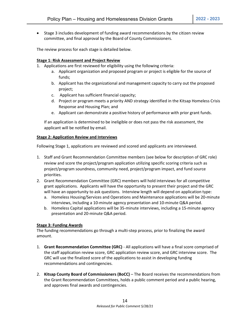• Stage 3 includes development of funding award recommendations by the citizen review committee, and final approval by the Board of County Commissioners.

The review process for each stage is detailed below.

#### **Stage 1: Risk Assessment and Project Review**

- 1. Applications are first reviewed for eligibility using the following criteria:
	- a. Applicant organization and proposed program or project is eligible for the source of funds;
	- b. Applicant has the organizational and management capacity to carry out the proposed project;
	- c. Applicant has sufficient financial capacity;
	- d. Project or program meets a priority AND strategy identified in the Kitsap Homeless Crisis Response and Housing Plan; and
	- e. Applicant can demonstrate a positive history of performance with prior grant funds.

If an application is determined to be ineligible or does not pass the risk assessment, the applicant will be notified by email.

#### **Stage 2: Application Review and Interviews**

Following Stage 1, applications are reviewed and scored and applicants are interviewed.

- 1. Staff and Grant Recommendation Committee members (see below for description of GRC role) review and score the project/program application utilizing specific scoring criteria such as project/program soundness, community need, project/program impact, and fund source priorities.
- 2. Grant Recommendation Committee (GRC) members will hold interviews for all competitive grant applications. Applicants will have the opportunity to present their project and the GRC will have an opportunity to ask questions. Interview length will depend on application type:
	- a. Homeless Housing/Services and Operations and Maintenance applications will be 20-minute interviews, including a 10-minute agency presentation and 10-minute Q&A period.
	- b. Homeless Capital applications will be 35-minute interviews, including a 15-minute agency presentation and 20-minute Q&A period.

#### **Stage 3: Funding Awards**

The funding recommendations go through a multi-step process, prior to finalizing the award amount.

- 1. **Grant Recommendation Committee (GRC)**  All applications will have a final score comprised of the staff application review score, GRC application review score, and GRC interview score. The GRC will use the finalized score of the applications to assist in developing funding recommendations and contingencies.
- 2. **Kitsap County Board of Commissioners (BoCC)** The Board receives the recommendations from the Grant Recommendation Committees, holds a public comment period and a public hearing, and approves final awards and contingencies.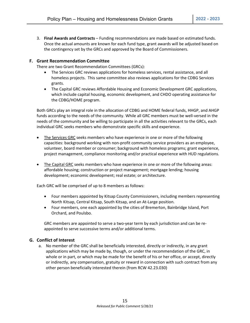3. **Final Awards and Contracts** – Funding recommendations are made based on estimated funds. Once the actual amounts are known for each fund type, grant awards will be adjusted based on the contingency set by the GRCs and approved by the Board of Commissioners.

#### **F. Grant Recommendation Committee**

There are two Grant Recommendation Committees (GRCs):

- The Services GRC reviews applications for homeless services, rental assistance, and all homeless projects. This same committee also reviews applications for the CDBG Services grants.
- The Capital GRC reviews Affordable Housing and Economic Development GRC applications, which include capital housing, economic development, and CHDO operating assistance for the CDBG/HOME program.

Both GRCs play an integral role in the allocation of CDBG and HOME federal funds, HHGP, and AHGP funds according to the needs of the community. While all GRC members must be well-versed in the needs of the community and be willing to participate in all the activities relevant to the GRCs, each individual GRC seeks members who demonstrate specific skills and experience.

- The Services GRC seeks members who have experience in one or more of the following capacities: background working with non-profit community service providers as an employee, volunteer, board member or consumer; background with homeless programs; grant experience, project management, compliance monitoring and/or practical experience with HUD regulations.
- The Capital GRC seeks members who have experience in one or more of the following areas: affordable housing; construction or project management; mortgage lending; housing development; economic development; real estate; or architecture.

Each GRC will be comprised of up to 8 members as follows:

- Four members appointed by Kitsap County Commissioners, including members representing North Kitsap, Central Kitsap, South Kitsap, and an At-Large position.
- Four members, one each appointed by the cities of Bremerton, Bainbridge Island, Port Orchard, and Poulsbo.

GRC members are appointed to serve a two-year term by each jurisdiction and can be reappointed to serve successive terms and/or additional terms.

#### **G. Conflict of Interest**

a. No member of the GRC shall be beneficially interested, directly or indirectly, in any grant applications which may be made by, though, or under the recommendation of the GRC, in whole or in part, or which may be made for the benefit of his or her office, or accept, directly or indirectly, any compensation, gratuity or reward in connection with such contract from any other person beneficially interested therein (from RCW 42.23.030)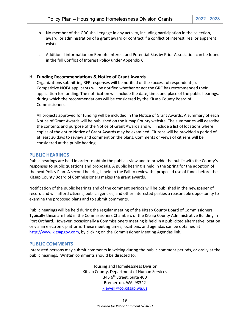- b. No member of the GRC shall engage in any activity, including participation in the selection, award, or administration of a grant award or contract if a conflict of interest, real or apparent, exists.
- c. Additional information on Remote Interest and Potential Bias by Prior Association can be found in the full Conflict of Interest Policy under Appendix C.

#### **H. Funding Recommendations & Notice of Grant Awards**

Organizations submitting RFP responses will be notified of the successful respondent(s). Competitive NOFA applicants will be notified whether or not the GRC has recommended their application for funding. The notification will include the date, time, and place of the public hearings, during which the recommendations will be considered by the Kitsap County Board of Commissioners.

All projects approved for funding will be included in the Notice of Grant Awards. A summary of each Notice of Grant Awards will be published on the Kitsap County website. The summaries will describe the contents and purpose of the Notice of Grant Awards and will include a list of locations where copies of the entire Notice of Grant Awards may be examined. Citizens will be provided a period of at least 30 days to review and comment on the plans. Comments or views of citizens will be considered at the public hearing.

#### **PUBLIC HEARINGS**

Public hearings are held in order to obtain the public's view and to provide the public with the County's responses to public questions and proposals. A public hearing is held in the Spring for the adoption of the next Policy Plan. A second hearing is held in the Fall to review the proposed use of funds before the Kitsap County Board of Commissioners makes the grant awards.

Notification of the public hearings and of the comment periods will be published in the newspaper of record and will afford citizens, public agencies, and other interested parties a reasonable opportunity to examine the proposed plans and to submit comments.

Public hearings will be held during the regular meeting of the Kitsap County Board of Commissioners. Typically these are held in the Commissioners Chambers of the Kitsap County Administrative Building in Port Orchard. However, occasionally a Commissioners meeting is held in a publicized alternative location or via an electronic platform. These meeting times, locations, and agendas can be obtained at [http://www.kitsapgov.com,](http://www.kitsapgov.com/) by clicking on the Commissioner Meeting Agendas link.

#### **PUBLIC COMMENTS**

Interested persons may submit comments in writing during the public comment periods, or orally at the public hearings. Written comments should be directed to:

> Housing and Homelessness Division Kitsap County, Department of Human Services 345 6th Street, Suite 400 Bremerton, WA 98342 [kjewell@co.kitsap.wa.us](mailto:kjewell@co.kitsap.wa.us)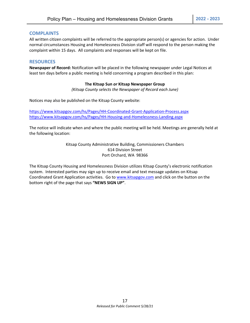#### **COMPLAINTS**

All written citizen complaints will be referred to the appropriate person(s) or agencies for action. Under normal circumstances Housing and Homelessness Division staff will respond to the person making the complaint within 15 days. All complaints and responses will be kept on file.

#### **RESOURCES**

**Newspaper of Record:** Notification will be placed in the following newspaper under Legal Notices at least ten days before a public meeting is held concerning a program described in this plan:

#### **The Kitsap Sun** *or* **Kitsap Newspaper Group**

*(Kitsap County selects the Newspaper of Record each June)*

Notices may also be published on the Kitsap County website:

<https://www.kitsapgov.com/hs/Pages/HH-Coordinated-Grant-Application-Process.aspx> <https://www.kitsapgov.com/hs/Pages/HH-Housing-and-Homelessness-Landing.aspx>

The notice will indicate when and where the public meeting will be held. Meetings are generally held at the following location:

> Kitsap County Administrative Building, Commissioners Chambers 614 Division Street Port Orchard, WA 98366

The Kitsap County Housing and Homelessness Division utilizes Kitsap County's electronic notification system. Interested parties may sign up to receive email and text message updates on Kitsap Coordinated Grant Application activities. Go to [www.kitsapgov.com](http://www.kitsapgov.com/) and click on the button on the bottom right of the page that says **"NEWS SIGN UP"**.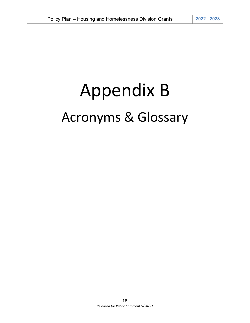# Appendix B Acronyms & Glossary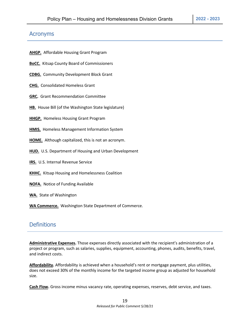## Acronyms

**AHGP.** Affordable Housing Grant Program

**BoCC.** Kitsap County Board of Commissioners

**CDBG.** Community Development Block Grant

**CHG.** Consolidated Homeless Grant

**GRC.** Grant Recommendation Committee

**HB.** House Bill (of the Washington State legislature)

**HHGP.** Homeless Housing Grant Program

**HMIS.** Homeless Management Information System

**HOME.** Although capitalized, this is not an acronym.

**HUD.** U.S. Department of Housing and Urban Development

**IRS.** U.S. Internal Revenue Service

**KHHC.** Kitsap Housing and Homelessness Coalition

**NOFA.** Notice of Funding Available

**WA.** State of Washington

**WA Commerce.** Washington State Department of Commerce.

## **Definitions**

**Administrative Expenses.** Those expenses directly associated with the recipient's administration of a project or program, such as salaries, supplies, equipment, accounting, phones, audits, benefits, travel, and indirect costs.

**Affordability.** Affordability is achieved when a household's rent or mortgage payment, plus utilities, does not exceed 30% of the monthly income for the targeted income group as adjusted for household size.

**Cash Flow.** Gross income minus vacancy rate, operating expenses, reserves, debt service, and taxes.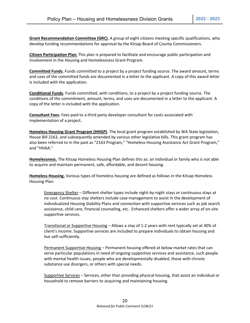**Grant Recommendation Committee (GRC).** A group of eight citizens meeting specific qualifications, who develop funding recommendations for approval by the Kitsap Board of County Commissioners.

**Citizen Participation Plan:** This plan is prepared to facilitate and encourage public participation and involvement in the Housing and Homelessness Grant Program.

**Committed Funds.** Funds committed to a project by a project funding source. The award amount, terms and uses of the committed funds are documented in a letter to the applicant. A copy of this award letter is included with the application.

**Conditional Funds.** Funds committed, with conditions, to a project by a project funding source. The conditions of the commitment, amount, terms, and uses are documented in a letter to the applicant. A copy of the letter is included with the application.

**Consultant Fees.** Fees paid to a third party developer consultant for costs associated with implementation of a project.

**Homeless Housing Grant Program (HHGP).** The local grant program established by WA State legislation, House Bill 2163, and subsequently amended by various other legislative bills. This grant program has also been referred to in the past as "2163 Program," "Homeless Housing Assistance Act Grant Program," and "HHAA."

**Homelessness.** The Kitsap Homeless Housing Plan defines this as: an individual or family who is not able to acquire and maintain permanent, safe, affordable, and decent housing.

**Homeless Housing.** Various types of homeless housing are defined as follows in the Kitsap Homeless Housing Plan:

Emergency Shelter – Different shelter types include night-by-night stays or continuous stays at no cost. Continuous stay shelters include case management to assist in the development of individualized Housing Stability Plans and connection with supportive services such as job search assistance, child care, financial counseling, etc. Enhanced shelters offer a wider array of on-site supportive services.

Transitional or Supportive Housing – Allows a stay of 1-2 years with rent typically set at 30% of client's income. Supportive services are included to prepare individuals to obtain housing and live self-sufficiently.

Permanent Supportive Housing – Permanent housing offered at below market rates that can serve particular populations in need of ongoing supportive services and assistance, such people with mental health issues, people who are developmentally disabled, those with chronic substance use disorgers, or others with special needs.

Supportive Services – Services, other than providing physical housing, that assist an individual or household to remove barriers to acquiring and maintaining housing.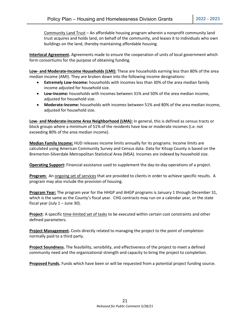Community Land Trust – An affordable housing program wherein a nonprofit community land trust acquires and holds land, on behalf of the community, and leases it to individuals who own buildings on the land, thereby maintaining affordable housing.

**Interlocal Agreement.** Agreements made to ensure the cooperation of units of local government which form consortiums for the purpose of obtaining funding.

**Low- and Moderate-Income Households (LMI):** These are households earning less than 80% of the area median income (AMI). They are broken down into the following income designations:

- **Extremely Low-Income:** households with incomes less than 30% of the area median family income adjusted for household size.
- **Low-Income:** households with incomes between 31% and 50% of the area median income, adjusted for household size.
- **Moderate-Income:** households with incomes between 51% and 80% of the area median income, adjusted for household size.

**Low- and Moderate-Income Area Neighborhood (LMA):** In general, this is defined as census tracts or block groups where a minimum of 51% of the residents have low or moderate incomes (i.e. not exceeding 80% of the area median income).

**Median Family Income:** HUD releases income limits annually for its programs. Income limits are calculated using American Community Survey and Census data. Data for Kitsap County is based on the Bremerton-Silverdale Metropolitan Statistical Area (MSA). Incomes are indexed by household size.

**Operating Support:** Financial assistance used to supplement the day-to-day operations of a project.

**Program:** An ongoing set of services that are provided to clients in order to achieve specific results. A program may also include the provision of housing.

**Program Year:** The program year for the HHGP and AHGP programs is January 1 through December 31, which is the same as the County's fiscal year. CHG contracts may run on a calendar year, or the state fiscal year (July  $1 -$  June 30).

**Project**: A specific time-limited set of tasks to be executed within certain cost constraints and other defined parameters.

**Project Management.** Costs directly related to managing the project to the point of completion normally paid to a third party.

**Project Soundness.** The feasibility, sensibility, and effectiveness of the project to meet a defined community need and the organizational strength and capacity to bring the project to completion.

**Proposed Funds.** Funds which have been or will be requested from a potential project funding source.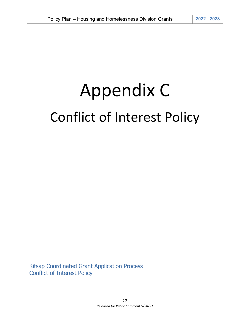# Appendix C Conflict of Interest Policy

Kitsap Coordinated Grant Application Process Conflict of Interest Policy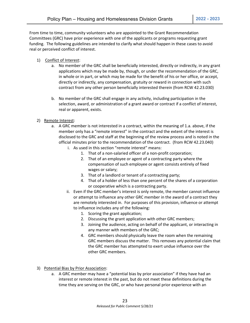From time to time, community volunteers who are appointed to the Grant Recommendation Committees (GRC) have prior experience with one of the applicants or programs requesting grant funding. The following guidelines are intended to clarify what should happen in these cases to avoid real or perceived conflict of interest.

- 1) Conflict of Interest:
	- a. No member of the GRC shall be beneficially interested, directly or indirectly, in any grant applications which may be made by, though, or under the recommendation of the GRC, in whole or in part, or which may be made for the benefit of his or her office, or accept, directly or indirectly, any compensation, gratuity or reward in connection with such contract from any other person beneficially interested therein (from RCW 42.23.030)
	- b. No member of the GRC shall engage in any activity, including participation in the selection, award, or administration of a grant award or contract if a conflict of interest, real or apparent, exists.
- 2) Remote Interest:
	- a. A GRC member is not interested in a contract, within the meaning of 1.a. above, if the member only has a "remote interest" in the contract and the extent of the interest is disclosed to the GRC and staff at the beginning of the review process and is noted in the official minutes prior to the recommendation of the contract. (from RCW 42.23.040)
		- i. As used in this section "remote interest" means:
			- 1. That of a non-salaried officer of a non-profit corporation;
			- 2. That of an employee or agent of a contracting party where the compensation of such employee or agent consists entirely of fixed wages or salary;
			- 3. That of a landlord or tenant of a contracting party;
			- 4. That of a holder of less than one percent of the shares of a corporation or cooperative which is a contracting party.
		- ii. Even if the GRC member's interest is only remote, the member cannot influence or attempt to influence any other GRC member in the award of a contract they are remotely interested in. For purposes of this provision, influence or attempt to influence includes any of the following:
			- 1. Scoring the grant application;
			- 2. Discussing the grant application with other GRC members;
			- 3. Joining the audience, acting on behalf of the applicant, or interacting in any manner with members of the GRC;
			- 4. GRC members should physically leave the room when the remaining GRC members discuss the matter. This removes any potential claim that the GRC member has attempted to exert undue influence over the other GRC members.
- 3) Potential Bias by Prior Association:
	- a. A GRC member may have a "potential bias by prior association" if they have had an interest or remote interest in the past, but do not meet these definitions during the time they are serving on the GRC, or who have personal prior experience with an